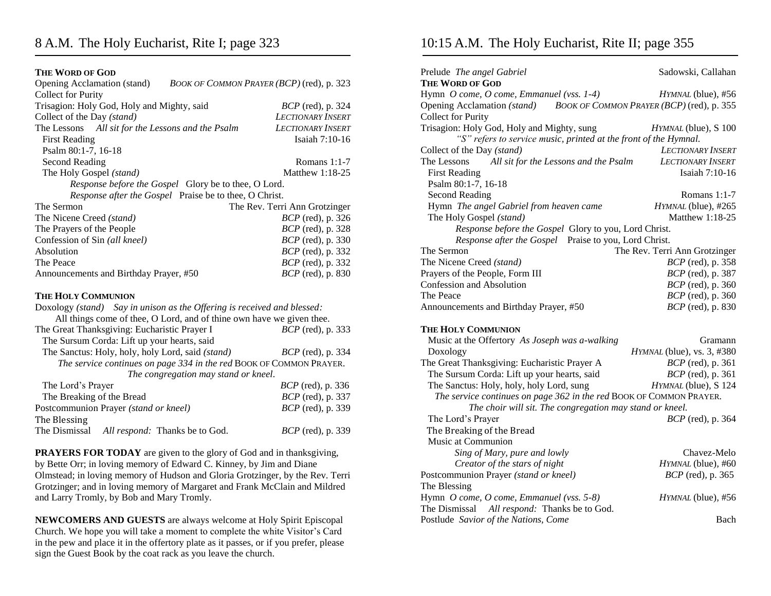## **THE WORD OF GOD**

| Opening Acclamation (stand)<br>BOOK OF COMMON PRAYER (BCP) (red), p. 323 |                               |  |
|--------------------------------------------------------------------------|-------------------------------|--|
| <b>Collect for Purity</b>                                                |                               |  |
| Trisagion: Holy God, Holy and Mighty, said                               | <i>BCP</i> (red), p. 324      |  |
| Collect of the Day (stand)                                               | <b>LECTIONARY INSERT</b>      |  |
| The Lessons All sit for the Lessons and the Psalm                        | LECTIONARY INSERT             |  |
| <b>First Reading</b>                                                     | Isaiah 7:10-16                |  |
| Psalm 80:1-7, 16-18                                                      |                               |  |
| Second Reading                                                           | Romans $1:1-7$                |  |
| The Holy Gospel (stand)                                                  | Matthew $1:18-25$             |  |
| Response before the Gospel Glory be to thee, O Lord.                     |                               |  |
| Response after the Gospel Praise be to thee, O Christ.                   |                               |  |
| The Sermon                                                               | The Rev. Terri Ann Grotzinger |  |
| The Nicene Creed (stand)                                                 | <i>BCP</i> (red), p. 326      |  |
| The Prayers of the People                                                | <i>BCP</i> (red), p. 328      |  |
| Confession of Sin (all kneel)                                            | BCP (red), p. 330             |  |
| Absolution                                                               | <i>BCP</i> (red), p. 332      |  |
| The Peace                                                                | <i>BCP</i> (red), p. 332      |  |
| Announcements and Birthday Prayer, #50                                   | <i>BCP</i> (red), p. 830      |  |
| <b>THE HOLY COMMUNION</b>                                                |                               |  |
| Doxology (stand) Say in unison as the Offering is received and blessed:  |                               |  |
| All things come of thee, O Lord, and of thine own have we given thee.    |                               |  |
| The Great Thanksgiving: Eucharistic Prayer I                             | <i>BCP</i> (red), p. 333      |  |
| The Sursum Corda: Lift up your hearts, said                              |                               |  |
| The Sanctus: Holy, holy, holy Lord, said (stand)                         | <i>BCP</i> (red), p. 334      |  |
| The service continues on page 334 in the red BOOK OF COMMON PRAYER.      |                               |  |
| The congregation may stand or kneel.                                     |                               |  |
| The Lord's Prayer                                                        | <i>BCP</i> (red), p. 336      |  |
| The Breaking of the Bread                                                | BCP (red), p. 337             |  |
| Postcommunion Prayer (stand or kneel)<br><i>BCP</i> (red), p. 339        |                               |  |
| The Blessing                                                             |                               |  |
| The Dismissal All respond: Thanks be to God.                             | <i>BCP</i> (red), p. 339      |  |

**PRAYERS FOR TODAY** are given to the glory of God and in thanksgiving, by Bette Orr; in loving memory of Edward C. Kinney, by Jim and Diane Olmstead; in loving memory of Hudson and Gloria Grotzinger, by the Rev. Terri Grotzinger; and in loving memory of Margaret and Frank McClain and Mildred and Larry Tromly, by Bob and Mary Tromly.

**NEWCOMERS AND GUESTS** are always welcome at Holy Spirit Episcopal Church. We hope you will take a moment to complete the white Visitor's Card in the pew and place it in the offertory plate as it passes, or if you prefer, please sign the Guest Book by the coat rack as you leave the church.

## 10:15 A.M. The Holy Eucharist, Rite II; page 355

| Prelude The angel Gabriel<br><b>THE WORD OF GOD</b>                   | Sadowski, Callahan            |  |
|-----------------------------------------------------------------------|-------------------------------|--|
| Hymn O come, O come, Emmanuel (vss. 1-4)                              | HYMNAL (blue), #56            |  |
| Opening Acclamation (stand) BOOK OF COMMON PRAYER (BCP) (red), p. 355 |                               |  |
| <b>Collect for Purity</b>                                             |                               |  |
| Trisagion: Holy God, Holy and Mighty, sung                            | HYMNAL (blue), S 100          |  |
| "S" refers to service music, printed at the front of the Hymnal.      |                               |  |
| Collect of the Day (stand)                                            | LECTIONARY INSERT             |  |
| All sit for the Lessons and the Psalm<br>The Lessons                  | <b>LECTIONARY INSERT</b>      |  |
| <b>First Reading</b>                                                  | Isaiah 7:10-16                |  |
| Psalm 80:1-7, 16-18                                                   |                               |  |
| <b>Second Reading</b>                                                 | Romans $1:1-7$                |  |
| Hymn The angel Gabriel from heaven came                               | HYMNAL (blue), #265           |  |
| The Holy Gospel (stand)                                               | Matthew 1:18-25               |  |
| Response before the Gospel Glory to you, Lord Christ.                 |                               |  |
| Response after the Gospel Praise to you, Lord Christ.                 |                               |  |
| The Sermon                                                            | The Rev. Terri Ann Grotzinger |  |
| The Nicene Creed (stand)                                              | <i>BCP</i> (red), p. 358      |  |
| Prayers of the People, Form III                                       | <i>BCP</i> (red), p. 387      |  |
| Confession and Absolution                                             | $BCP$ (red), p. 360           |  |
| The Peace                                                             | <i>BCP</i> (red), p. 360      |  |
| Announcements and Birthday Prayer, #50                                | <i>BCP</i> (red), p. 830      |  |
| THE HOLY COMMUNION                                                    |                               |  |
| Music at the Offertory As Joseph was a-walking                        | Gramann                       |  |
| Doxology                                                              | HYMNAL (blue), vs. 3, #380    |  |
| The Great Thanksgiving: Eucharistic Prayer A                          | <i>BCP</i> (red), p. 361      |  |
| The Sursum Corda: Lift up your hearts, said                           | <i>BCP</i> (red), p. 361      |  |
| The Sanctus: Holy, holy, holy Lord, sung                              | HYMNAL (blue), S 124          |  |
| The service continues on page 362 in the red BOOK OF COMMON PRAYER.   |                               |  |
| The choir will sit. The congregation may stand or kneel.              |                               |  |
| The Lord's Prayer                                                     | <i>BCP</i> (red), p. 364      |  |
| The Breaking of the Bread                                             |                               |  |
| Music at Communion                                                    |                               |  |
| Sing of Mary, pure and lowly                                          | Chavez-Melo                   |  |
| Creator of the stars of night                                         | HYMNAL (blue), #60            |  |
| Postcommunion Prayer (stand or kneel)                                 | <i>BCP</i> (red), p. 365      |  |
| The Blessing                                                          |                               |  |
| Hymn O come, O come, Emmanuel (vss. 5-8)                              | HYMNAL (blue), #56            |  |
| The Dismissal All respond: Thanks be to God.                          |                               |  |
| Postlude Savior of the Nations, Come                                  | Bach                          |  |